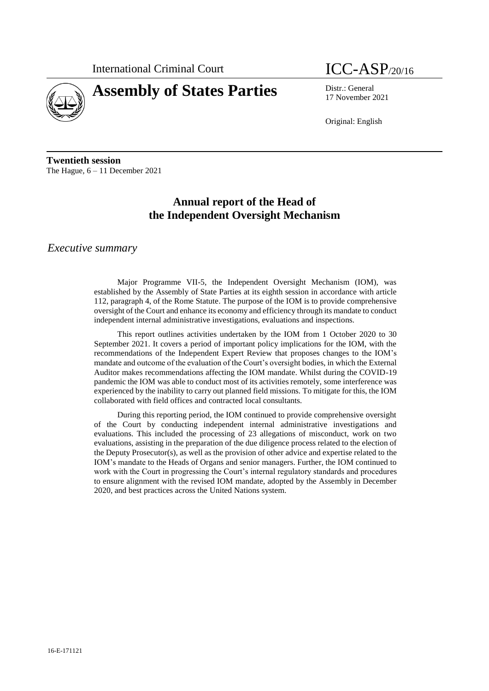International Criminal Court **ICC-ASP**/20/16



# **Assembly of States Parties** Distr.: General

17 November 2021

Original: English

**Twentieth session** The Hague, 6 – 11 December 2021

# **Annual report of the Head of the Independent Oversight Mechanism**

# *Executive summary*

Major Programme VII-5, the Independent Oversight Mechanism (IOM), was established by the Assembly of State Parties at its eighth session in accordance with article 112, paragraph 4, of the Rome Statute. The purpose of the IOM is to provide comprehensive oversight of the Court and enhance its economy and efficiency through its mandate to conduct independent internal administrative investigations, evaluations and inspections.

This report outlines activities undertaken by the IOM from 1 October 2020 to 30 September 2021. It covers a period of important policy implications for the IOM, with the recommendations of the Independent Expert Review that proposes changes to the IOM's mandate and outcome of the evaluation of the Court's oversight bodies, in which the External Auditor makes recommendations affecting the IOM mandate. Whilst during the COVID-19 pandemic the IOM was able to conduct most of its activities remotely, some interference was experienced by the inability to carry out planned field missions. To mitigate for this, the IOM collaborated with field offices and contracted local consultants.

During this reporting period, the IOM continued to provide comprehensive oversight of the Court by conducting independent internal administrative investigations and evaluations. This included the processing of 23 allegations of misconduct, work on two evaluations, assisting in the preparation of the due diligence process related to the election of the Deputy Prosecutor(s), as well as the provision of other advice and expertise related to the IOM's mandate to the Heads of Organs and senior managers. Further, the IOM continued to work with the Court in progressing the Court's internal regulatory standards and procedures to ensure alignment with the revised IOM mandate, adopted by the Assembly in December 2020, and best practices across the United Nations system.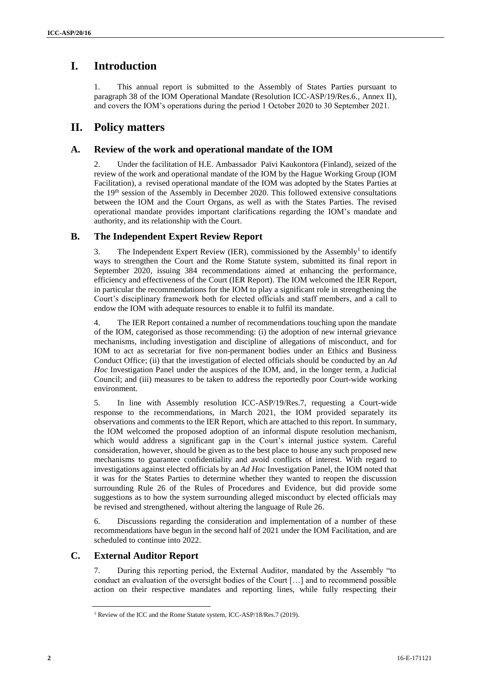# **I. Introduction**

1. This annual report is submitted to the Assembly of States Parties pursuant to paragraph 38 of the IOM Operational Mandate (Resolution ICC-ASP/19/Res.6., Annex II), and covers the IOM's operations during the period 1 October 2020 to 30 September 2021.

# **II. Policy matters**

# **A. Review of the work and operational mandate of the IOM**

2. Under the facilitation of H.E. Ambassador Païvi Kaukontora (Finland), seized of the review of the work and operational mandate of the IOM by the Hague Working Group (IOM Facilitation), a revised operational mandate of the IOM was adopted by the States Parties at the 19<sup>th</sup> session of the Assembly in December 2020. This followed extensive consultations between the IOM and the Court Organs, as well as with the States Parties. The revised operational mandate provides important clarifications regarding the IOM's mandate and authority, and its relationship with the Court.

# **B. The Independent Expert Review Report**

3. The Independent Expert Review (IER), commissioned by the Assembly<sup>1</sup> to identify ways to strengthen the Court and the Rome Statute system, submitted its final report in September 2020, issuing 384 recommendations aimed at enhancing the performance, efficiency and effectiveness of the Court (IER Report). The IOM welcomed the IER Report, in particular the recommendations for the IOM to play a significant role in strengthening the Court's disciplinary framework both for elected officials and staff members, and a call to endow the IOM with adequate resources to enable it to fulfil its mandate.

4. The IER Report contained a number of recommendations touching upon the mandate of the IOM, categorised as those recommending: (i) the adoption of new internal grievance mechanisms, including investigation and discipline of allegations of misconduct, and for IOM to act as secretariat for five non-permanent bodies under an Ethics and Business Conduct Office; (ii) that the investigation of elected officials should be conducted by an *Ad Hoc* Investigation Panel under the auspices of the IOM, and, in the longer term, a Judicial Council; and (iii) measures to be taken to address the reportedly poor Court-wide working environment.

5. In line with Assembly resolution ICC-ASP/19/Res.7, requesting a Court-wide response to the recommendations, in March 2021, the IOM provided separately its observations and comments to the IER Report, which are attached to this report. In summary, the IOM welcomed the proposed adoption of an informal dispute resolution mechanism, which would address a significant gap in the Court's internal justice system. Careful consideration, however, should be given as to the best place to house any such proposed new mechanisms to guarantee confidentiality and avoid conflicts of interest. With regard to investigations against elected officials by an *Ad Hoc* Investigation Panel, the IOM noted that it was for the States Parties to determine whether they wanted to reopen the discussion surrounding Rule 26 of the Rules of Procedures and Evidence, but did provide some suggestions as to how the system surrounding alleged misconduct by elected officials may be revised and strengthened, without altering the language of Rule 26.

6. Discussions regarding the consideration and implementation of a number of these recommendations have begun in the second half of 2021 under the IOM Facilitation, and are scheduled to continue into 2022.

# **C. External Auditor Report**

7. During this reporting period, the External Auditor, mandated by the Assembly "to conduct an evaluation of the oversight bodies of the Court […] and to recommend possible action on their respective mandates and reporting lines, while fully respecting their

<sup>&</sup>lt;sup>1</sup> Review of the ICC and the Rome Statute system, ICC-ASP/18/Res.7 (2019).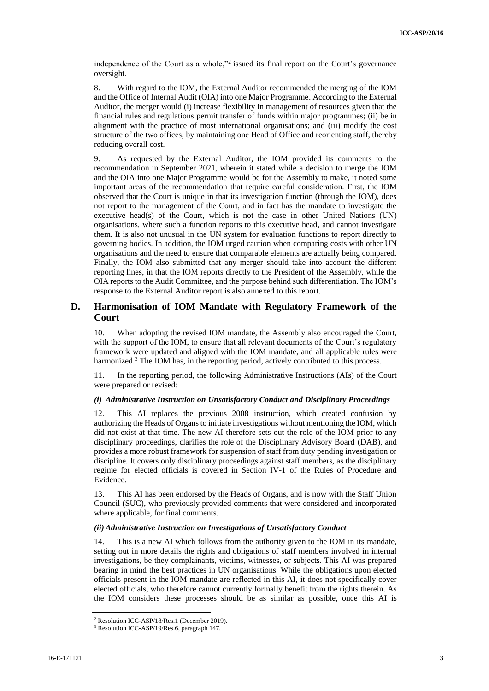independence of the Court as a whole,"<sup>2</sup> issued its final report on the Court's governance oversight.

8. With regard to the IOM, the External Auditor recommended the merging of the IOM and the Office of Internal Audit (OIA) into one Major Programme. According to the External Auditor, the merger would (i) increase flexibility in management of resources given that the financial rules and regulations permit transfer of funds within major programmes; (ii) be in alignment with the practice of most international organisations; and (iii) modify the cost structure of the two offices, by maintaining one Head of Office and reorienting staff, thereby reducing overall cost.

9. As requested by the External Auditor, the IOM provided its comments to the recommendation in September 2021, wherein it stated while a decision to merge the IOM and the OIA into one Major Programme would be for the Assembly to make, it noted some important areas of the recommendation that require careful consideration. First, the IOM observed that the Court is unique in that its investigation function (through the IOM), does not report to the management of the Court, and in fact has the mandate to investigate the executive head(s) of the Court, which is not the case in other United Nations (UN) organisations, where such a function reports to this executive head, and cannot investigate them. It is also not unusual in the UN system for evaluation functions to report directly to governing bodies. In addition, the IOM urged caution when comparing costs with other UN organisations and the need to ensure that comparable elements are actually being compared. Finally, the IOM also submitted that any merger should take into account the different reporting lines, in that the IOM reports directly to the President of the Assembly, while the OIA reports to the Audit Committee, and the purpose behind such differentiation. The IOM's response to the External Auditor report is also annexed to this report.

# **D. Harmonisation of IOM Mandate with Regulatory Framework of the Court**

10. When adopting the revised IOM mandate, the Assembly also encouraged the Court, with the support of the IOM, to ensure that all relevant documents of the Court's regulatory framework were updated and aligned with the IOM mandate, and all applicable rules were harmonized.<sup>3</sup> The IOM has, in the reporting period, actively contributed to this process.

11. In the reporting period, the following Administrative Instructions (AIs) of the Court were prepared or revised:

#### *(i) Administrative Instruction on Unsatisfactory Conduct and Disciplinary Proceedings*

12. This AI replaces the previous 2008 instruction, which created confusion by authorizing the Heads of Organs to initiate investigations without mentioning the IOM, which did not exist at that time. The new AI therefore sets out the role of the IOM prior to any disciplinary proceedings, clarifies the role of the Disciplinary Advisory Board (DAB), and provides a more robust framework for suspension of staff from duty pending investigation or discipline. It covers only disciplinary proceedings against staff members, as the disciplinary regime for elected officials is covered in Section IV-1 of the Rules of Procedure and Evidence.

13. This AI has been endorsed by the Heads of Organs, and is now with the Staff Union Council (SUC), who previously provided comments that were considered and incorporated where applicable, for final comments.

#### *(ii) Administrative Instruction on Investigations of Unsatisfactory Conduct*

14. This is a new AI which follows from the authority given to the IOM in its mandate, setting out in more details the rights and obligations of staff members involved in internal investigations, be they complainants, victims, witnesses, or subjects. This AI was prepared bearing in mind the best practices in UN organisations. While the obligations upon elected officials present in the IOM mandate are reflected in this AI, it does not specifically cover elected officials, who therefore cannot currently formally benefit from the rights therein. As the IOM considers these processes should be as similar as possible, once this AI is

<sup>2</sup> Resolution ICC-ASP/18/Res.1 (December 2019).

<sup>3</sup> Resolution ICC-ASP/19/Res.6, paragraph 147.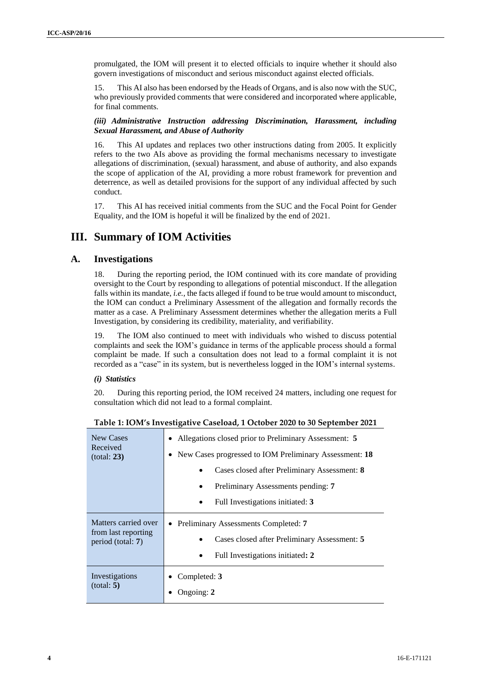promulgated, the IOM will present it to elected officials to inquire whether it should also govern investigations of misconduct and serious misconduct against elected officials.

15. This AI also has been endorsed by the Heads of Organs, and is also now with the SUC, who previously provided comments that were considered and incorporated where applicable, for final comments.

### *(iii) Administrative Instruction addressing Discrimination, Harassment, including Sexual Harassment, and Abuse of Authority*

16. This AI updates and replaces two other instructions dating from 2005. It explicitly refers to the two AIs above as providing the formal mechanisms necessary to investigate allegations of discrimination, (sexual) harassment, and abuse of authority, and also expands the scope of application of the AI, providing a more robust framework for prevention and deterrence, as well as detailed provisions for the support of any individual affected by such conduct.

17. This AI has received initial comments from the SUC and the Focal Point for Gender Equality, and the IOM is hopeful it will be finalized by the end of 2021.

# **III. Summary of IOM Activities**

### **A. Investigations**

During the reporting period, the IOM continued with its core mandate of providing oversight to the Court by responding to allegations of potential misconduct. If the allegation falls within its mandate, *i.e.*, the facts alleged if found to be true would amount to misconduct, the IOM can conduct a Preliminary Assessment of the allegation and formally records the matter as a case. A Preliminary Assessment determines whether the allegation merits a Full Investigation, by considering its credibility, materiality, and verifiability.

19. The IOM also continued to meet with individuals who wished to discuss potential complaints and seek the IOM's guidance in terms of the applicable process should a formal complaint be made. If such a consultation does not lead to a formal complaint it is not recorded as a "case" in its system, but is nevertheless logged in the IOM's internal systems.

### *(i) Statistics*

20. During this reporting period, the IOM received 24 matters, including one request for consultation which did not lead to a formal complaint.

| New Cases<br>Received<br>(total: 23)                             | Allegations closed prior to Preliminary Assessment: 5<br>٠<br>New Cases progressed to IOM Preliminary Assessment: 18<br>$\bullet$<br>Cases closed after Preliminary Assessment: 8<br>$\bullet$<br>Preliminary Assessments pending: 7<br>٠<br>Full Investigations initiated: 3<br>$\bullet$ |
|------------------------------------------------------------------|--------------------------------------------------------------------------------------------------------------------------------------------------------------------------------------------------------------------------------------------------------------------------------------------|
| Matters carried over<br>from last reporting<br>period (total: 7) | Preliminary Assessments Completed: 7<br>$\bullet$<br>Cases closed after Preliminary Assessment: 5<br>Full Investigations initiated: 2<br>$\bullet$                                                                                                                                         |
| Investigations<br>(total: 5)                                     | Completed: 3<br>Ongoing: 2                                                                                                                                                                                                                                                                 |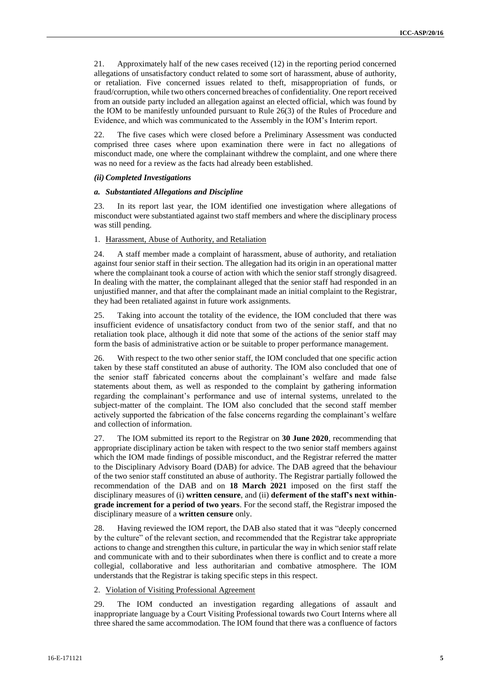21. Approximately half of the new cases received (12) in the reporting period concerned allegations of unsatisfactory conduct related to some sort of harassment, abuse of authority, or retaliation. Five concerned issues related to theft, misappropriation of funds, or fraud/corruption, while two others concerned breaches of confidentiality. One report received from an outside party included an allegation against an elected official, which was found by the IOM to be manifestly unfounded pursuant to Rule 26(3) of the Rules of Procedure and Evidence, and which was communicated to the Assembly in the IOM's Interim report.

22. The five cases which were closed before a Preliminary Assessment was conducted comprised three cases where upon examination there were in fact no allegations of misconduct made, one where the complainant withdrew the complaint, and one where there was no need for a review as the facts had already been established.

#### *(ii) Completed Investigations*

#### *a. Substantiated Allegations and Discipline*

23. In its report last year, the IOM identified one investigation where allegations of misconduct were substantiated against two staff members and where the disciplinary process was still pending.

#### 1. Harassment, Abuse of Authority, and Retaliation

24. A staff member made a complaint of harassment, abuse of authority, and retaliation against four senior staff in their section. The allegation had its origin in an operational matter where the complainant took a course of action with which the senior staff strongly disagreed. In dealing with the matter, the complainant alleged that the senior staff had responded in an unjustified manner, and that after the complainant made an initial complaint to the Registrar, they had been retaliated against in future work assignments.

25. Taking into account the totality of the evidence, the IOM concluded that there was insufficient evidence of unsatisfactory conduct from two of the senior staff, and that no retaliation took place, although it did note that some of the actions of the senior staff may form the basis of administrative action or be suitable to proper performance management.

26. With respect to the two other senior staff, the IOM concluded that one specific action taken by these staff constituted an abuse of authority. The IOM also concluded that one of the senior staff fabricated concerns about the complainant's welfare and made false statements about them, as well as responded to the complaint by gathering information regarding the complainant's performance and use of internal systems, unrelated to the subject-matter of the complaint. The IOM also concluded that the second staff member actively supported the fabrication of the false concerns regarding the complainant's welfare and collection of information.

27. The IOM submitted its report to the Registrar on **30 June 2020**, recommending that appropriate disciplinary action be taken with respect to the two senior staff members against which the IOM made findings of possible misconduct, and the Registrar referred the matter to the Disciplinary Advisory Board (DAB) for advice. The DAB agreed that the behaviour of the two senior staff constituted an abuse of authority. The Registrar partially followed the recommendation of the DAB and on **18 March 2021** imposed on the first staff the disciplinary measures of (i) **written censure**, and (ii) **deferment of the staff's next withingrade increment for a period of two years**. For the second staff, the Registrar imposed the disciplinary measure of a **written censure** only.

28. Having reviewed the IOM report, the DAB also stated that it was "deeply concerned by the culture" of the relevant section, and recommended that the Registrar take appropriate actions to change and strengthen this culture, in particular the way in which senior staff relate and communicate with and to their subordinates when there is conflict and to create a more collegial, collaborative and less authoritarian and combative atmosphere. The IOM understands that the Registrar is taking specific steps in this respect.

2. Violation of Visiting Professional Agreement

29. The IOM conducted an investigation regarding allegations of assault and inappropriate language by a Court Visiting Professional towards two Court Interns where all three shared the same accommodation. The IOM found that there was a confluence of factors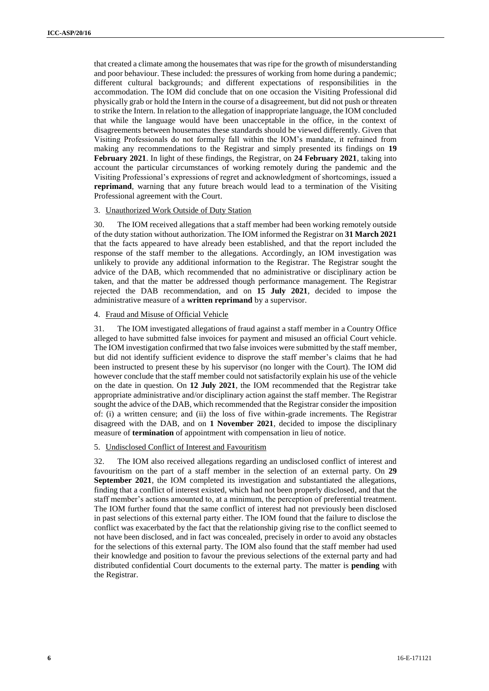that created a climate among the housemates that was ripe for the growth of misunderstanding and poor behaviour. These included: the pressures of working from home during a pandemic; different cultural backgrounds; and different expectations of responsibilities in the accommodation. The IOM did conclude that on one occasion the Visiting Professional did physically grab or hold the Intern in the course of a disagreement, but did not push or threaten to strike the Intern. In relation to the allegation of inappropriate language, the IOM concluded that while the language would have been unacceptable in the office, in the context of disagreements between housemates these standards should be viewed differently. Given that Visiting Professionals do not formally fall within the IOM's mandate, it refrained from making any recommendations to the Registrar and simply presented its findings on **19 February 2021**. In light of these findings, the Registrar, on **24 February 2021**, taking into account the particular circumstances of working remotely during the pandemic and the Visiting Professional's expressions of regret and acknowledgment of shortcomings, issued a **reprimand**, warning that any future breach would lead to a termination of the Visiting Professional agreement with the Court.

#### 3. Unauthorized Work Outside of Duty Station

30. The IOM received allegations that a staff member had been working remotely outside of the duty station without authorization. The IOM informed the Registrar on **31 March 2021** that the facts appeared to have already been established, and that the report included the response of the staff member to the allegations. Accordingly, an IOM investigation was unlikely to provide any additional information to the Registrar. The Registrar sought the advice of the DAB, which recommended that no administrative or disciplinary action be taken, and that the matter be addressed though performance management. The Registrar rejected the DAB recommendation, and on **15 July 2021**, decided to impose the administrative measure of a **written reprimand** by a supervisor.

#### 4. Fraud and Misuse of Official Vehicle

31. The IOM investigated allegations of fraud against a staff member in a Country Office alleged to have submitted false invoices for payment and misused an official Court vehicle. The IOM investigation confirmed that two false invoices were submitted by the staff member, but did not identify sufficient evidence to disprove the staff member's claims that he had been instructed to present these by his supervisor (no longer with the Court). The IOM did however conclude that the staff member could not satisfactorily explain his use of the vehicle on the date in question. On **12 July 2021**, the IOM recommended that the Registrar take appropriate administrative and/or disciplinary action against the staff member. The Registrar sought the advice of the DAB, which recommended that the Registrar consider the imposition of: (i) a written censure; and (ii) the loss of five within-grade increments. The Registrar disagreed with the DAB, and on **1 November 2021**, decided to impose the disciplinary measure of **termination** of appointment with compensation in lieu of notice.

#### 5. Undisclosed Conflict of Interest and Favouritism

32. The IOM also received allegations regarding an undisclosed conflict of interest and favouritism on the part of a staff member in the selection of an external party. On **29 September 2021**, the IOM completed its investigation and substantiated the allegations, finding that a conflict of interest existed, which had not been properly disclosed, and that the staff member's actions amounted to, at a minimum, the perception of preferential treatment. The IOM further found that the same conflict of interest had not previously been disclosed in past selections of this external party either. The IOM found that the failure to disclose the conflict was exacerbated by the fact that the relationship giving rise to the conflict seemed to not have been disclosed, and in fact was concealed, precisely in order to avoid any obstacles for the selections of this external party. The IOM also found that the staff member had used their knowledge and position to favour the previous selections of the external party and had distributed confidential Court documents to the external party. The matter is **pending** with the Registrar.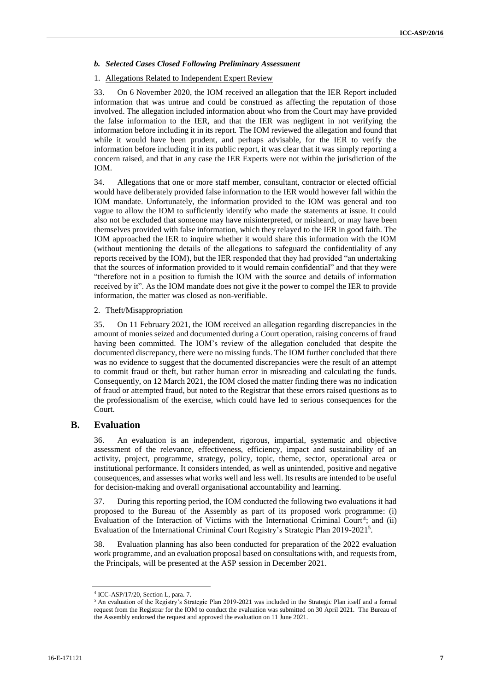#### *b. Selected Cases Closed Following Preliminary Assessment*

### 1. Allegations Related to Independent Expert Review

33. On 6 November 2020, the IOM received an allegation that the IER Report included information that was untrue and could be construed as affecting the reputation of those involved. The allegation included information about who from the Court may have provided the false information to the IER, and that the IER was negligent in not verifying the information before including it in its report. The IOM reviewed the allegation and found that while it would have been prudent, and perhaps advisable, for the IER to verify the information before including it in its public report, it was clear that it was simply reporting a concern raised, and that in any case the IER Experts were not within the jurisdiction of the IOM.

34. Allegations that one or more staff member, consultant, contractor or elected official would have deliberately provided false information to the IER would however fall within the IOM mandate. Unfortunately, the information provided to the IOM was general and too vague to allow the IOM to sufficiently identify who made the statements at issue. It could also not be excluded that someone may have misinterpreted, or misheard, or may have been themselves provided with false information, which they relayed to the IER in good faith. The IOM approached the IER to inquire whether it would share this information with the IOM (without mentioning the details of the allegations to safeguard the confidentiality of any reports received by the IOM), but the IER responded that they had provided "an undertaking that the sources of information provided to it would remain confidential" and that they were "therefore not in a position to furnish the IOM with the source and details of information received by it". As the IOM mandate does not give it the power to compel the IER to provide information, the matter was closed as non-verifiable.

#### 2. Theft/Misappropriation

35. On 11 February 2021, the IOM received an allegation regarding discrepancies in the amount of monies seized and documented during a Court operation, raising concerns of fraud having been committed. The IOM's review of the allegation concluded that despite the documented discrepancy, there were no missing funds. The IOM further concluded that there was no evidence to suggest that the documented discrepancies were the result of an attempt to commit fraud or theft, but rather human error in misreading and calculating the funds. Consequently, on 12 March 2021, the IOM closed the matter finding there was no indication of fraud or attempted fraud, but noted to the Registrar that these errors raised questions as to the professionalism of the exercise, which could have led to serious consequences for the Court.

### **B. Evaluation**

36. An evaluation is an independent, rigorous, impartial, systematic and objective assessment of the relevance, effectiveness, efficiency, impact and sustainability of an activity, project, programme, strategy, policy, topic, theme, sector, operational area or institutional performance. It considers intended, as well as unintended, positive and negative consequences, and assesses what works well and less well. Its results are intended to be useful for decision-making and overall organisational accountability and learning.

37. During this reporting period, the IOM conducted the following two evaluations it had proposed to the Bureau of the Assembly as part of its proposed work programme: (i) Evaluation of the Interaction of Victims with the International Criminal Court<sup>4</sup>; and (ii) Evaluation of the International Criminal Court Registry's Strategic Plan 2019-2021<sup>5</sup> .

38. Evaluation planning has also been conducted for preparation of the 2022 evaluation work programme, and an evaluation proposal based on consultations with, and requests from, the Principals, will be presented at the ASP session in December 2021.

<sup>4</sup> ICC-ASP/17/20, Section L, para. 7.

<sup>5</sup> An evaluation of the Registry's Strategic Plan 2019-2021 was included in the Strategic Plan itself and a formal request from the Registrar for the IOM to conduct the evaluation was submitted on 30 April 2021. The Bureau of the Assembly endorsed the request and approved the evaluation on 11 June 2021.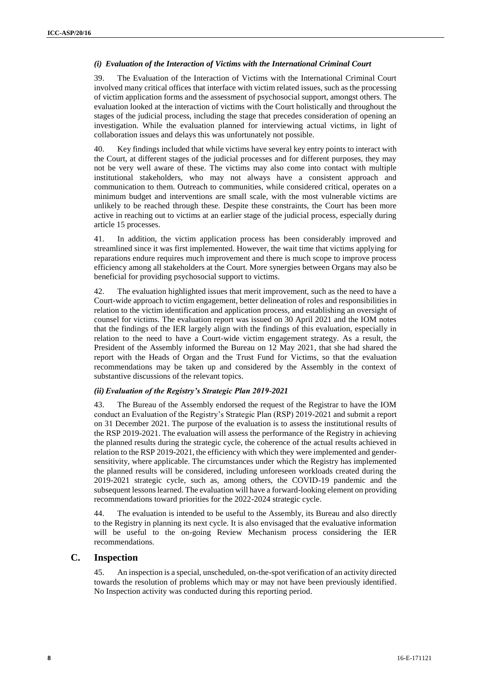### *(i) Evaluation of the Interaction of Victims with the International Criminal Court*

39. The Evaluation of the Interaction of Victims with the International Criminal Court involved many critical offices that interface with victim related issues, such as the processing of victim application forms and the assessment of psychosocial support, amongst others. The evaluation looked at the interaction of victims with the Court holistically and throughout the stages of the judicial process, including the stage that precedes consideration of opening an investigation. While the evaluation planned for interviewing actual victims, in light of collaboration issues and delays this was unfortunately not possible.

40. Key findings included that while victims have several key entry points to interact with the Court, at different stages of the judicial processes and for different purposes, they may not be very well aware of these. The victims may also come into contact with multiple institutional stakeholders, who may not always have a consistent approach and communication to them. Outreach to communities, while considered critical, operates on a minimum budget and interventions are small scale, with the most vulnerable victims are unlikely to be reached through these. Despite these constraints, the Court has been more active in reaching out to victims at an earlier stage of the judicial process, especially during article 15 processes.

41. In addition, the victim application process has been considerably improved and streamlined since it was first implemented. However, the wait time that victims applying for reparations endure requires much improvement and there is much scope to improve process efficiency among all stakeholders at the Court. More synergies between Organs may also be beneficial for providing psychosocial support to victims.

42. The evaluation highlighted issues that merit improvement, such as the need to have a Court-wide approach to victim engagement, better delineation of roles and responsibilities in relation to the victim identification and application process, and establishing an oversight of counsel for victims. The evaluation report was issued on 30 April 2021 and the IOM notes that the findings of the IER largely align with the findings of this evaluation, especially in relation to the need to have a Court-wide victim engagement strategy. As a result, the President of the Assembly informed the Bureau on 12 May 2021, that she had shared the report with the Heads of Organ and the Trust Fund for Victims, so that the evaluation recommendations may be taken up and considered by the Assembly in the context of substantive discussions of the relevant topics.

#### *(ii) Evaluation of the Registry's Strategic Plan 2019-2021*

43. The Bureau of the Assembly endorsed the request of the Registrar to have the IOM conduct an Evaluation of the Registry's Strategic Plan (RSP) 2019-2021 and submit a report on 31 December 2021. The purpose of the evaluation is to assess the institutional results of the RSP 2019-2021. The evaluation will assess the performance of the Registry in achieving the planned results during the strategic cycle, the coherence of the actual results achieved in relation to the RSP 2019-2021, the efficiency with which they were implemented and gendersensitivity, where applicable. The circumstances under which the Registry has implemented the planned results will be considered, including unforeseen workloads created during the 2019-2021 strategic cycle, such as, among others, the COVID-19 pandemic and the subsequent lessons learned. The evaluation will have a forward-looking element on providing recommendations toward priorities for the 2022-2024 strategic cycle.

The evaluation is intended to be useful to the Assembly, its Bureau and also directly to the Registry in planning its next cycle. It is also envisaged that the evaluative information will be useful to the on-going Review Mechanism process considering the IER recommendations.

### **C. Inspection**

45. An inspection is a special, unscheduled, on-the-spot verification of an activity directed towards the resolution of problems which may or may not have been previously identified. No Inspection activity was conducted during this reporting period.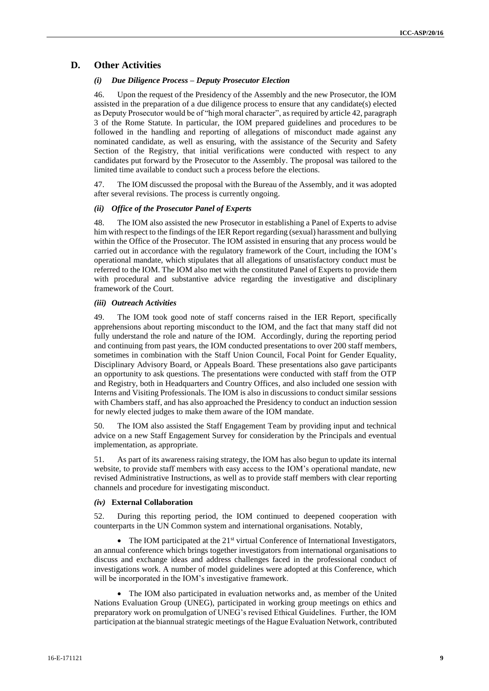## **D. Other Activities**

#### *(i) Due Diligence Process – Deputy Prosecutor Election*

46. Upon the request of the Presidency of the Assembly and the new Prosecutor, the IOM assisted in the preparation of a due diligence process to ensure that any candidate(s) elected as Deputy Prosecutor would be of "high moral character", as required by article 42, paragraph 3 of the Rome Statute. In particular, the IOM prepared guidelines and procedures to be followed in the handling and reporting of allegations of misconduct made against any nominated candidate, as well as ensuring, with the assistance of the Security and Safety Section of the Registry, that initial verifications were conducted with respect to any candidates put forward by the Prosecutor to the Assembly. The proposal was tailored to the limited time available to conduct such a process before the elections.

47. The IOM discussed the proposal with the Bureau of the Assembly, and it was adopted after several revisions. The process is currently ongoing.

#### *(ii) Office of the Prosecutor Panel of Experts*

48. The IOM also assisted the new Prosecutor in establishing a Panel of Experts to advise him with respect to the findings of the IER Report regarding (sexual) harassment and bullying within the Office of the Prosecutor. The IOM assisted in ensuring that any process would be carried out in accordance with the regulatory framework of the Court, including the IOM's operational mandate, which stipulates that all allegations of unsatisfactory conduct must be referred to the IOM. The IOM also met with the constituted Panel of Experts to provide them with procedural and substantive advice regarding the investigative and disciplinary framework of the Court.

#### *(iii) Outreach Activities*

49. The IOM took good note of staff concerns raised in the IER Report, specifically apprehensions about reporting misconduct to the IOM, and the fact that many staff did not fully understand the role and nature of the IOM. Accordingly, during the reporting period and continuing from past years, the IOM conducted presentations to over 200 staff members, sometimes in combination with the Staff Union Council, Focal Point for Gender Equality, Disciplinary Advisory Board, or Appeals Board. These presentations also gave participants an opportunity to ask questions. The presentations were conducted with staff from the OTP and Registry, both in Headquarters and Country Offices, and also included one session with Interns and Visiting Professionals. The IOM is also in discussions to conduct similar sessions with Chambers staff, and has also approached the Presidency to conduct an induction session for newly elected judges to make them aware of the IOM mandate.

50. The IOM also assisted the Staff Engagement Team by providing input and technical advice on a new Staff Engagement Survey for consideration by the Principals and eventual implementation, as appropriate.

51. As part of its awareness raising strategy, the IOM has also begun to update its internal website, to provide staff members with easy access to the IOM's operational mandate, new revised Administrative Instructions, as well as to provide staff members with clear reporting channels and procedure for investigating misconduct.

#### *(iv)* **External Collaboration**

52. During this reporting period, the IOM continued to deepened cooperation with counterparts in the UN Common system and international organisations. Notably,

• The IOM participated at the  $21<sup>st</sup>$  virtual Conference of International Investigators, an annual conference which brings together investigators from international organisations to discuss and exchange ideas and address challenges faced in the professional conduct of investigations work. A number of model guidelines were adopted at this Conference, which will be incorporated in the IOM's investigative framework.

 The IOM also participated in evaluation networks and, as member of the United Nations Evaluation Group (UNEG), participated in working group meetings on ethics and preparatory work on promulgation of UNEG's revised Ethical Guidelines. Further, the IOM participation at the biannual strategic meetings of the Hague Evaluation Network, contributed